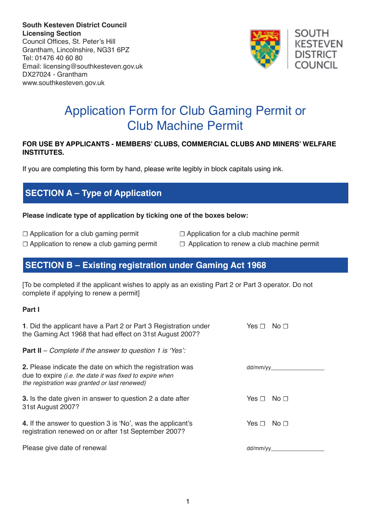**South Kesteven District Council Licensing Section** Council Offices, St. Peter's Hill Grantham, Lincolnshire, NG31 6PZ Tel: 01476 40 60 80 Email: licensing@southkesteven.gov.uk DX27024 - Grantham www.southkesteven.gov.uk



# Application Form for Club Gaming Permit or Club Machine Permit

#### **FOR USE BY APPLICANTS - MEMBERS' CLUBS, COMMERCIAL CLUBS AND MINERS' WELFARE INSTITUTES.**

If you are completing this form by hand, please write legibly in block capitals using ink.

# **SECTION A – Type of Application**

#### **Please indicate type of application by ticking one of the boxes below:**

- 
- 
- ☐ Application for a club gaming permit ☐ Application for a club machine permit
- ☐ Application to renew a club gaming permit ☐ Application to renew a club machine permit

### **SECTION B – Existing registration under Gaming Act 1968**

[To be completed if the applicant wishes to apply as an existing Part 2 or Part 3 operator. Do not complete if applying to renew a permit]

#### **Part I**

| 1. Did the applicant have a Part 2 or Part 3 Registration under                                                                                                        | No <sub>1</sub> |
|------------------------------------------------------------------------------------------------------------------------------------------------------------------------|-----------------|
| the Gaming Act 1968 that had effect on 31st August 2007?                                                                                                               | Yes $\sqcap$    |
| <b>Part II</b> – Complete if the answer to question 1 is 'Yes':                                                                                                        |                 |
| 2. Please indicate the date on which the registration was<br>due to expire (i.e. the date it was fixed to expire when<br>the registration was granted or last renewed) | dd/mm/yy        |
| <b>3.</b> Is the date given in answer to question 2 a date after                                                                                                       | No $\sqcap$     |
| 31st August 2007?                                                                                                                                                      | Yes $\sqcap$    |
| 4. If the answer to question 3 is 'No', was the applicant's                                                                                                            | No $\sqcap$     |
| registration renewed on or after 1st September 2007?                                                                                                                   | Yes $\sqcap$    |
| Please give date of renewal                                                                                                                                            | dd/mm/yy        |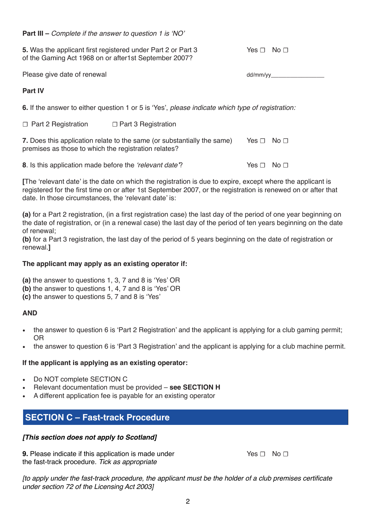**Part III –** Complete if the answer to question 1 is 'NO'

**5.** Was the applicant first registered under Part 2 or Part 3 Yes □ No □ of the Gaming Act 1968 on or after1st September 2007?

Please give date of renewal dd/mm/yy\_

### **Part IV**

**6.** If the answer to either question 1 or 5 is 'Yes', please indicate which type of registration:

☐ Part 2 Registration ☐ Part 3 Registration

**7.** Does this application relate to the same (or substantially the same) Yes  $\Box$  No  $\Box$ premises as those to which the registration relates?

**8**. Is this application made before the 'relevant date'? Yes ☐ No ☐

**[**The 'relevant date' is the date on which the registration is due to expire, except where the applicant is registered for the first time on or after 1st September 2007, or the registration is renewed on or after that date. In those circumstances, the 'relevant date' is:

**(a)** for a Part 2 registration, (in a first registration case) the last day of the period of one year beginning on the date of registration, or (in a renewal case) the last day of the period of ten years beginning on the date of renewal;

**(b)** for a Part 3 registration, the last day of the period of 5 years beginning on the date of registration or renewal.**]**

### **The applicant may apply as an existing operator if:**

**(a)** the answer to questions 1, 3, 7 and 8 is 'Yes' OR

- **(b)** the answer to questions 1, 4, 7 and 8 is 'Yes' OR
- **(c)** the answer to questions 5, 7 and 8 is 'Yes'

### **AND**

- the answer to question 6 is 'Part 2 Registration' and the applicant is applying for a club gaming permit; OR
- the answer to question 6 is 'Part 3 Registration' and the applicant is applying for a club machine permit.

### **If the applicant is applying as an existing operator:**

- Do NOT complete SECTION C
- Relevant documentation must be provided see **SECTION H**
- A different application fee is payable for an existing operator

# **SECTION C – Fast-track Procedure**

### *[This section does not apply to Scotland]*

**9.** Please indicate if this application is made under **Yes** □ No □ the fast-track procedure. *Tick as appropriate*

[to apply under the fast-track procedure, the applicant must be the holder of a club premises certificate *under section 72 of the Licensing Act 2003]*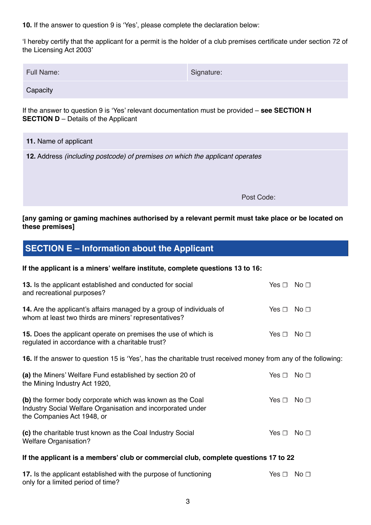**10.** If the answer to question 9 is 'Yes', please complete the declaration below:

'I hereby certify that the applicant for a permit is the holder of a club premises certificate under section 72 of the Licensing Act 2003'

| <b>Full Name:</b> | Signature: |
|-------------------|------------|
|                   |            |

**Capacity** 

If the answer to question 9 is 'Yes' relevant documentation must be provided – **see SECTION H SECTION D** – Details of the Applicant

|                                                                              | 11. Name of applicant |  |
|------------------------------------------------------------------------------|-----------------------|--|
| 12. Address (including postcode) of premises on which the applicant operates |                       |  |
|                                                                              |                       |  |
|                                                                              |                       |  |
|                                                                              | Post Code:            |  |

#### **[any gaming or gaming machines authorised by a relevant permit must take place or be located on these premises]**

# **SECTION E – Information about the Applicant**

only for a limited period of time?

#### **If the applicant is a miners' welfare institute, complete questions 13 to 16:**

| 13. Is the applicant established and conducted for social<br>and recreational purposes?                                                                | Yes $\Box$ No $\Box$ |                 |  |
|--------------------------------------------------------------------------------------------------------------------------------------------------------|----------------------|-----------------|--|
| 14. Are the applicant's affairs managed by a group of individuals of<br>whom at least two thirds are miners' representatives?                          | Yes $\Box$           | No <sub>1</sub> |  |
| 15. Does the applicant operate on premises the use of which is<br>regulated in accordance with a charitable trust?                                     | Yes $\Box$           | No <sub>1</sub> |  |
| 16. If the answer to question 15 is 'Yes', has the charitable trust received money from any of the following                                           |                      |                 |  |
| (a) the Miners' Welfare Fund established by section 20 of<br>the Mining Industry Act 1920,                                                             | Yes $\Box$           | No <sub>1</sub> |  |
| (b) the former body corporate which was known as the Coal<br>Industry Social Welfare Organisation and incorporated under<br>the Companies Act 1948, or | Yes $\sqcap$         | No <sub>1</sub> |  |
| (c) the charitable trust known as the Coal Industry Social<br><b>Welfare Organisation?</b>                                                             | Yes $\Box$           | No <sub>1</sub> |  |
| If the applicant is a members' club or commercial club, complete questions 17 to 22                                                                    |                      |                 |  |
| 17. Is the applicant established with the purpose of functioning                                                                                       | Yes $\Box$           | No <sub>1</sub> |  |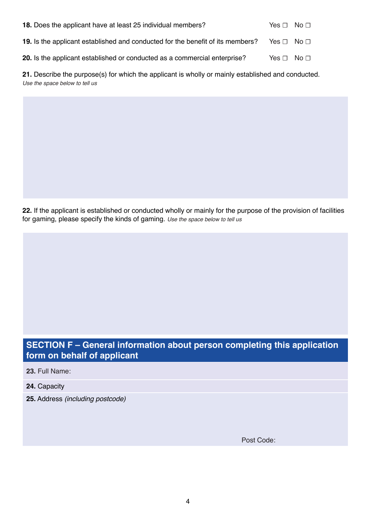| 18. Does the applicant have at least 25 individual members?                           | Yes $\Box$ No $\Box$ |
|---------------------------------------------------------------------------------------|----------------------|
| <b>19.</b> Is the applicant established and conducted for the benefit of its members? | Yes $\Box$ No $\Box$ |
| 20. Is the applicant established or conducted as a commercial enterprise?             | Yes $\Box$ No $\Box$ |

**21.** Describe the purpose(s) for which the applicant is wholly or mainly established and conducted. *Use the space below to tell us*

**22.** If the applicant is established or conducted wholly or mainly for the purpose of the provision of facilities for gaming, please specify the kinds of gaming. *Use the space below to tell us*

# **SECTION F – General information about person completing this application form on behalf of applicant**

**23.** Full Name:

- **24.** Capacity
- **25.** Address *(including postcode)*

Post Code: